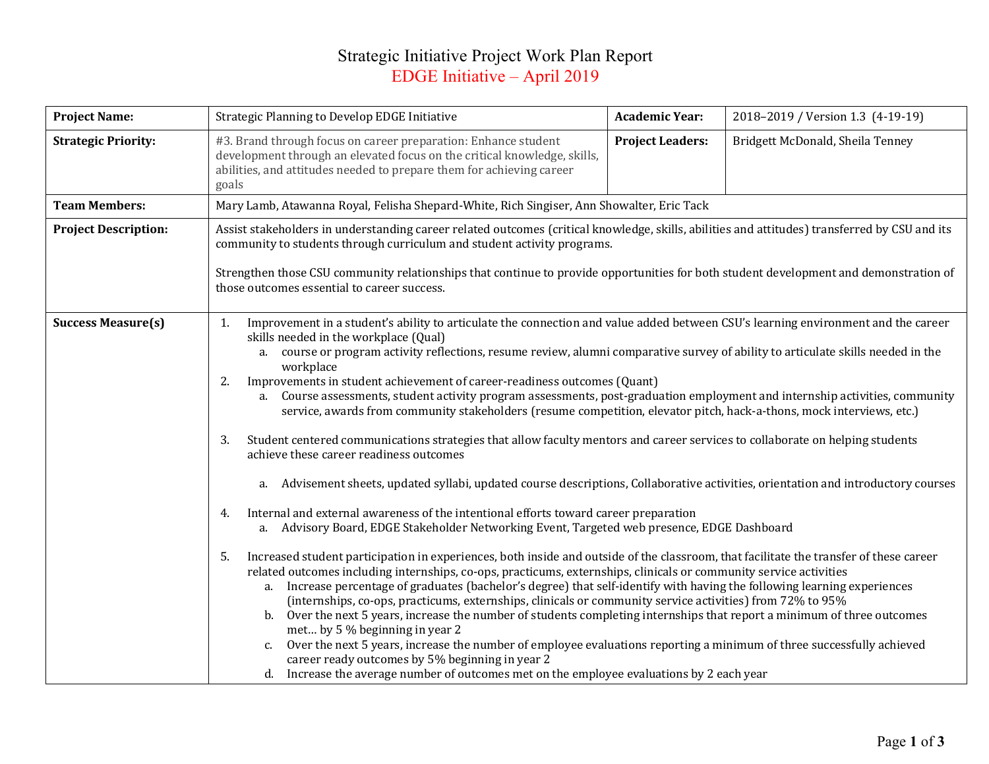## Strategic Initiative Project Work Plan Report EDGE Initiative – April 2019

| <b>Project Name:</b>        | Strategic Planning to Develop EDGE Initiative                                                                                                                                                                                                                                                                                                                                                                                                                                                                                                                                                                                                                                                                                                                                                                                                                                                                                                                                                                                                                                                                                                                                                                                                                                                                                                                                                                                                                                                                                                                                                                                                                                                                                                                                                                                                                                                                                                                                                                                                                                                                                                                                    |                         | 2018-2019 / Version 1.3 (4-19-19) |  |  |  |
|-----------------------------|----------------------------------------------------------------------------------------------------------------------------------------------------------------------------------------------------------------------------------------------------------------------------------------------------------------------------------------------------------------------------------------------------------------------------------------------------------------------------------------------------------------------------------------------------------------------------------------------------------------------------------------------------------------------------------------------------------------------------------------------------------------------------------------------------------------------------------------------------------------------------------------------------------------------------------------------------------------------------------------------------------------------------------------------------------------------------------------------------------------------------------------------------------------------------------------------------------------------------------------------------------------------------------------------------------------------------------------------------------------------------------------------------------------------------------------------------------------------------------------------------------------------------------------------------------------------------------------------------------------------------------------------------------------------------------------------------------------------------------------------------------------------------------------------------------------------------------------------------------------------------------------------------------------------------------------------------------------------------------------------------------------------------------------------------------------------------------------------------------------------------------------------------------------------------------|-------------------------|-----------------------------------|--|--|--|
| <b>Strategic Priority:</b>  | #3. Brand through focus on career preparation: Enhance student<br>development through an elevated focus on the critical knowledge, skills,<br>abilities, and attitudes needed to prepare them for achieving career<br>goals                                                                                                                                                                                                                                                                                                                                                                                                                                                                                                                                                                                                                                                                                                                                                                                                                                                                                                                                                                                                                                                                                                                                                                                                                                                                                                                                                                                                                                                                                                                                                                                                                                                                                                                                                                                                                                                                                                                                                      | <b>Project Leaders:</b> | Bridgett McDonald, Sheila Tenney  |  |  |  |
| <b>Team Members:</b>        | Mary Lamb, Atawanna Royal, Felisha Shepard-White, Rich Singiser, Ann Showalter, Eric Tack                                                                                                                                                                                                                                                                                                                                                                                                                                                                                                                                                                                                                                                                                                                                                                                                                                                                                                                                                                                                                                                                                                                                                                                                                                                                                                                                                                                                                                                                                                                                                                                                                                                                                                                                                                                                                                                                                                                                                                                                                                                                                        |                         |                                   |  |  |  |
| <b>Project Description:</b> | Assist stakeholders in understanding career related outcomes (critical knowledge, skills, abilities and attitudes) transferred by CSU and its<br>community to students through curriculum and student activity programs.<br>Strengthen those CSU community relationships that continue to provide opportunities for both student development and demonstration of<br>those outcomes essential to career success.                                                                                                                                                                                                                                                                                                                                                                                                                                                                                                                                                                                                                                                                                                                                                                                                                                                                                                                                                                                                                                                                                                                                                                                                                                                                                                                                                                                                                                                                                                                                                                                                                                                                                                                                                                 |                         |                                   |  |  |  |
| <b>Success Measure(s)</b>   | Improvement in a student's ability to articulate the connection and value added between CSU's learning environment and the career<br>1.<br>skills needed in the workplace (Qual)<br>course or program activity reflections, resume review, alumni comparative survey of ability to articulate skills needed in the<br>a.<br>workplace<br>Improvements in student achievement of career-readiness outcomes (Quant)<br>2.<br>a. Course assessments, student activity program assessments, post-graduation employment and internship activities, community<br>service, awards from community stakeholders (resume competition, elevator pitch, hack-a-thons, mock interviews, etc.)<br>Student centered communications strategies that allow faculty mentors and career services to collaborate on helping students<br>3.<br>achieve these career readiness outcomes<br>Advisement sheets, updated syllabi, updated course descriptions, Collaborative activities, orientation and introductory courses<br>a.<br>Internal and external awareness of the intentional efforts toward career preparation<br>4.<br>a. Advisory Board, EDGE Stakeholder Networking Event, Targeted web presence, EDGE Dashboard<br>Increased student participation in experiences, both inside and outside of the classroom, that facilitate the transfer of these career<br>.5<br>related outcomes including internships, co-ops, practicums, externships, clinicals or community service activities<br>Increase percentage of graduates (bachelor's degree) that self-identify with having the following learning experiences<br>a.<br>(internships, co-ops, practicums, externships, clinicals or community service activities) from 72% to 95%<br>b. Over the next 5 years, increase the number of students completing internships that report a minimum of three outcomes<br>met by 5 % beginning in year 2<br>Over the next 5 years, increase the number of employee evaluations reporting a minimum of three successfully achieved<br>$c_{\cdot}$<br>career ready outcomes by 5% beginning in year 2<br>d. Increase the average number of outcomes met on the employee evaluations by 2 each year |                         |                                   |  |  |  |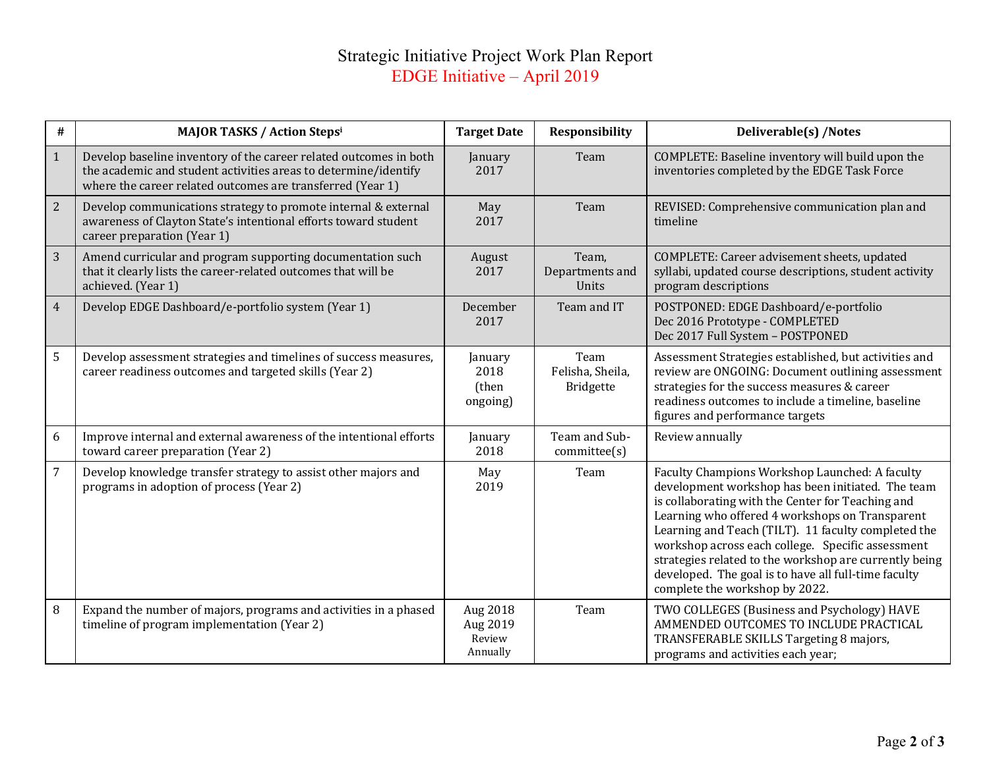## Strategic Initiative Project Work Plan Report EDGE Initiative – April 2019

| #              | <b>MAJOR TASKS / Action Stepsi</b>                                                                                                                                                                 | <b>Target Date</b>                         | <b>Responsibility</b>                 | Deliverable(s) /Notes                                                                                                                                                                                                                                                                                                                                                                                                                                                       |
|----------------|----------------------------------------------------------------------------------------------------------------------------------------------------------------------------------------------------|--------------------------------------------|---------------------------------------|-----------------------------------------------------------------------------------------------------------------------------------------------------------------------------------------------------------------------------------------------------------------------------------------------------------------------------------------------------------------------------------------------------------------------------------------------------------------------------|
| $\mathbf{1}$   | Develop baseline inventory of the career related outcomes in both<br>the academic and student activities areas to determine/identify<br>where the career related outcomes are transferred (Year 1) | January<br>2017                            | Team                                  | COMPLETE: Baseline inventory will build upon the<br>inventories completed by the EDGE Task Force                                                                                                                                                                                                                                                                                                                                                                            |
| 2              | Develop communications strategy to promote internal & external<br>awareness of Clayton State's intentional efforts toward student<br>career preparation (Year 1)                                   | May<br>2017                                | Team                                  | REVISED: Comprehensive communication plan and<br>timeline                                                                                                                                                                                                                                                                                                                                                                                                                   |
| $\overline{3}$ | Amend curricular and program supporting documentation such<br>that it clearly lists the career-related outcomes that will be<br>achieved. (Year 1)                                                 | August<br>2017                             | Team,<br>Departments and<br>Units     | COMPLETE: Career advisement sheets, updated<br>syllabi, updated course descriptions, student activity<br>program descriptions                                                                                                                                                                                                                                                                                                                                               |
| $\overline{4}$ | Develop EDGE Dashboard/e-portfolio system (Year 1)                                                                                                                                                 | December<br>2017                           | Team and IT                           | POSTPONED: EDGE Dashboard/e-portfolio<br>Dec 2016 Prototype - COMPLETED<br>Dec 2017 Full System - POSTPONED                                                                                                                                                                                                                                                                                                                                                                 |
| 5              | Develop assessment strategies and timelines of success measures,<br>career readiness outcomes and targeted skills (Year 2)                                                                         | January<br>2018<br>(then<br>ongoing)       | Team<br>Felisha, Sheila,<br>Bridgette | Assessment Strategies established, but activities and<br>review are ONGOING: Document outlining assessment<br>strategies for the success measures & career<br>readiness outcomes to include a timeline, baseline<br>figures and performance targets                                                                                                                                                                                                                         |
| $6\,$          | Improve internal and external awareness of the intentional efforts<br>toward career preparation (Year 2)                                                                                           | January<br>2018                            | Team and Sub-<br>committe(s)          | Review annually                                                                                                                                                                                                                                                                                                                                                                                                                                                             |
| $\overline{7}$ | Develop knowledge transfer strategy to assist other majors and<br>programs in adoption of process (Year 2)                                                                                         | May<br>2019                                | Team                                  | Faculty Champions Workshop Launched: A faculty<br>development workshop has been initiated. The team<br>is collaborating with the Center for Teaching and<br>Learning who offered 4 workshops on Transparent<br>Learning and Teach (TILT). 11 faculty completed the<br>workshop across each college. Specific assessment<br>strategies related to the workshop are currently being<br>developed. The goal is to have all full-time faculty<br>complete the workshop by 2022. |
| 8              | Expand the number of majors, programs and activities in a phased<br>timeline of program implementation (Year 2)                                                                                    | Aug 2018<br>Aug 2019<br>Review<br>Annually | Team                                  | TWO COLLEGES (Business and Psychology) HAVE<br>AMMENDED OUTCOMES TO INCLUDE PRACTICAL<br>TRANSFERABLE SKILLS Targeting 8 majors,<br>programs and activities each year;                                                                                                                                                                                                                                                                                                      |